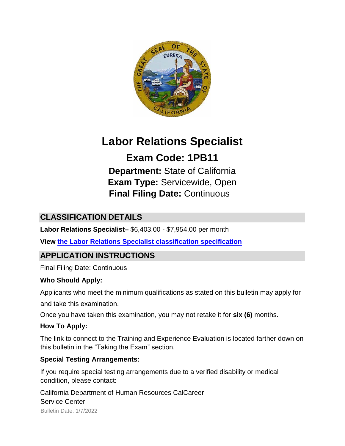

# **Labor Relations Specialist**

**Exam Code: 1PB11 Department:** State of California **Exam Type:** Servicewide, Open **Final Filing Date:** Continuous

# **CLASSIFICATION DETAILS**

**Labor Relations Specialist–** \$6,403.00 - \$7,954.00 per month

**View [the](http://www.calhr.ca.gov/state-hr-professionals/pages/9529.aspx) [Labor Relations Specialist classification specification](http://www.calhr.ca.gov/state-hr-professionals/pages/9529.aspx)**

# **APPLICATION INSTRUCTIONS**

Final Filing Date: Continuous

#### **Who Should Apply:**

Applicants who meet the minimum qualifications as stated on this bulletin may apply for

and take this examination.

Once you have taken this examination, you may not retake it for **six (6)** months.

#### **How To Apply:**

The link to connect to the Training and Experience Evaluation is located farther down on this bulletin in the "Taking the Exam" section.

#### **Special Testing Arrangements:**

If you require special testing arrangements due to a verified disability or medical condition, please contact:

California Department of Human Resources CalCareer Service Center

Bulletin Date: 1/7/2022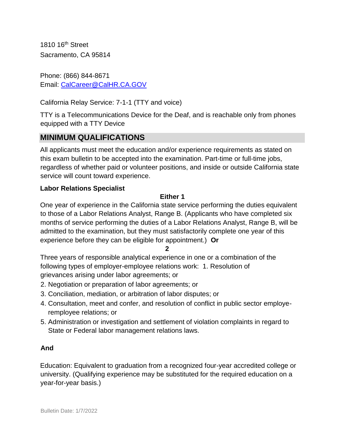1810 16th Street Sacramento, CA 95814

Phone: (866) 844-8671 Email: CalCareer@CalHR.CA.GOV

California Relay Service: 7-1-1 (TTY and voice)

TTY is a Telecommunications Device for the Deaf, and is reachable only from phones equipped with a TTY Device

# **MINIMUM QUALIFICATIONS**

All applicants must meet the education and/or experience requirements as stated on this exam bulletin to be accepted into the examination. Part-time or full-time jobs, regardless of whether paid or volunteer positions, and inside or outside California state service will count toward experience.

#### **Labor Relations Specialist**

#### **Either 1**

One year of experience in the California state service performing the duties equivalent to those of a Labor Relations Analyst, Range B. (Applicants who have completed six months of service performing the duties of a Labor Relations Analyst, Range B, will be admitted to the examination, but they must satisfactorily complete one year of this experience before they can be eligible for appointment.) **Or** 

**2**

Three years of responsible analytical experience in one or a combination of the following types of employer-employee relations work: 1. Resolution of grievances arising under labor agreements; or

- 2. Negotiation or preparation of labor agreements; or
- 3. Conciliation, mediation, or arbitration of labor disputes; or
- 4. Consultation, meet and confer, and resolution of conflict in public sector employeremployee relations; or
- 5. Administration or investigation and settlement of violation complaints in regard to State or Federal labor management relations laws.

#### **And**

Education: Equivalent to graduation from a recognized four-year accredited college or university. (Qualifying experience may be substituted for the required education on a year-for-year basis.)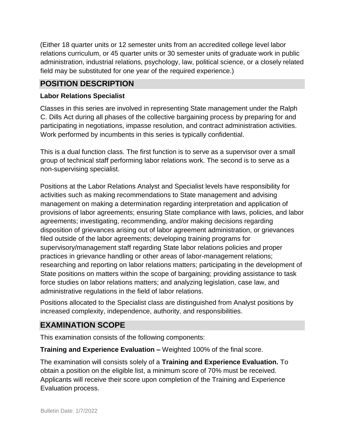(Either 18 quarter units or 12 semester units from an accredited college level labor relations curriculum, or 45 quarter units or 30 semester units of graduate work in public administration, industrial relations, psychology, law, political science, or a closely related field may be substituted for one year of the required experience.)

## **POSITION DESCRIPTION**

#### **Labor Relations Specialist**

Classes in this series are involved in representing State management under the Ralph C. Dills Act during all phases of the collective bargaining process by preparing for and participating in negotiations, impasse resolution, and contract administration activities. Work performed by incumbents in this series is typically confidential.

This is a dual function class. The first function is to serve as a supervisor over a small group of technical staff performing labor relations work. The second is to serve as a non-supervising specialist.

Positions at the Labor Relations Analyst and Specialist levels have responsibility for activities such as making recommendations to State management and advising management on making a determination regarding interpretation and application of provisions of labor agreements; ensuring State compliance with laws, policies, and labor agreements; investigating, recommending, and/or making decisions regarding disposition of grievances arising out of labor agreement administration, or grievances filed outside of the labor agreements; developing training programs for supervisory/management staff regarding State labor relations policies and proper practices in grievance handling or other areas of labor-management relations; researching and reporting on labor relations matters; participating in the development of State positions on matters within the scope of bargaining; providing assistance to task force studies on labor relations matters; and analyzing legislation, case law, and administrative regulations in the field of labor relations.

Positions allocated to the Specialist class are distinguished from Analyst positions by increased complexity, independence, authority, and responsibilities.

# **EXAMINATION SCOPE**

This examination consists of the following components:

**Training and Experience Evaluation –** Weighted 100% of the final score.

The examination will consists solely of a **Training and Experience Evaluation.** To obtain a position on the eligible list, a minimum score of 70% must be received. Applicants will receive their score upon completion of the Training and Experience Evaluation process.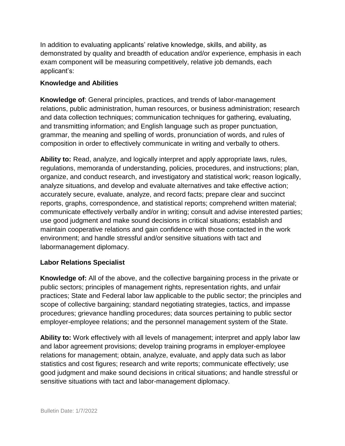In addition to evaluating applicants' relative knowledge, skills, and ability, as demonstrated by quality and breadth of education and/or experience, emphasis in each exam component will be measuring competitively, relative job demands, each applicant's:

#### **Knowledge and Abilities**

**Knowledge of**: General principles, practices, and trends of labor-management relations, public administration, human resources, or business administration; research and data collection techniques; communication techniques for gathering, evaluating, and transmitting information; and English language such as proper punctuation, grammar, the meaning and spelling of words, pronunciation of words, and rules of composition in order to effectively communicate in writing and verbally to others.

**Ability to:** Read, analyze, and logically interpret and apply appropriate laws, rules, regulations, memoranda of understanding, policies, procedures, and instructions; plan, organize, and conduct research, and investigatory and statistical work; reason logically, analyze situations, and develop and evaluate alternatives and take effective action; accurately secure, evaluate, analyze, and record facts; prepare clear and succinct reports, graphs, correspondence, and statistical reports; comprehend written material; communicate effectively verbally and/or in writing; consult and advise interested parties; use good judgment and make sound decisions in critical situations; establish and maintain cooperative relations and gain confidence with those contacted in the work environment; and handle stressful and/or sensitive situations with tact and labormanagement diplomacy.

#### **Labor Relations Specialist**

**Knowledge of:** All of the above, and the collective bargaining process in the private or public sectors; principles of management rights, representation rights, and unfair practices; State and Federal labor law applicable to the public sector; the principles and scope of collective bargaining; standard negotiating strategies, tactics, and impasse procedures; grievance handling procedures; data sources pertaining to public sector employer-employee relations; and the personnel management system of the State.

**Ability to:** Work effectively with all levels of management; interpret and apply labor law and labor agreement provisions; develop training programs in employer-employee relations for management; obtain, analyze, evaluate, and apply data such as labor statistics and cost figures; research and write reports; communicate effectively; use good judgment and make sound decisions in critical situations; and handle stressful or sensitive situations with tact and labor-management diplomacy.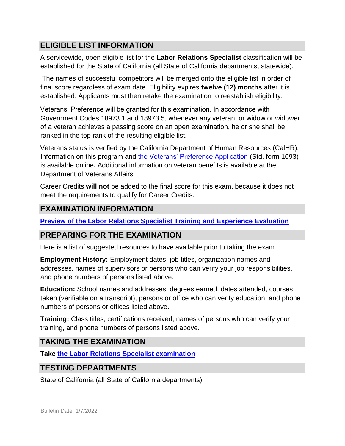# **ELIGIBLE LIST INFORMATION**

A servicewide, open eligible list for the **Labor Relations Specialist** classification will be established for the State of California (all State of California departments, statewide).

The names of successful competitors will be merged onto the eligible list in order of final score regardless of exam date. Eligibility expires **twelve (12) months** after it is established. Applicants must then retake the examination to reestablish eligibility.

Veterans' Preference will be granted for this examination. In accordance with Government Codes 18973.1 and 18973.5, whenever any veteran, or widow or widower of a veteran achieves a passing score on an open examination, he or she shall be ranked in the top rank of the resulting eligible list.

Veterans status is verified by the California Department of Human Resources (CalHR). Information on this program and [the Veterans' Preference Application](https://www.jobs.ca.gov/CalHRPublic/Landing/Jobs/VeteransInformation.aspx) [\(](https://www.jobs.ca.gov/CalHRPublic/Landing/Jobs/VeteransInformation.aspx)Std. form 1093) is available online**.** Additional information on veteran benefits is available at the Department of Veterans Affairs.

Career Credits **will not** be added to the final score for this exam, because it does not meet the requirements to qualify for Career Credits.

# **EXAMINATION INFORMATION**

**[Preview of the Labor Relations Specialist Training and Experience](https://jobs.ca.gov/JOBSGEN/1PB11A.PDF) Evaluation** 

## **PREPARING FOR THE EXAMINATION**

Here is a list of suggested resources to have available prior to taking the exam.

**Employment History:** Employment dates, job titles, organization names and addresses, names of supervisors or persons who can verify your job responsibilities, and phone numbers of persons listed above.

**Education:** School names and addresses, degrees earned, dates attended, courses taken (verifiable on a transcript), persons or office who can verify education, and phone numbers of persons or offices listed above.

**Training:** Class titles, certifications received, names of persons who can verify your training, and phone numbers of persons listed above.

## **TAKING THE EXAMINATION**

**Take [the](https://exams.spb.ca.gov/exams/lrs/index.cfm) [Labor Relations Specialist examination](https://exams.spb.ca.gov/exams/lrs/index.cfm)**

## **TESTING DEPARTMENTS**

State of California (all State of California departments)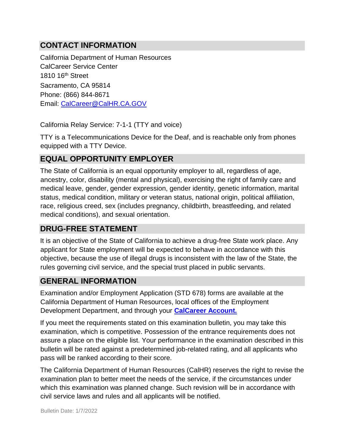# **CONTACT INFORMATION**

California Department of Human Resources CalCareer Service Center 1810 16<sup>th</sup> Street Sacramento, CA 95814 Phone: (866) 844-8671 Email: CalCareer@CalHR.CA.GOV

California Relay Service: 7-1-1 (TTY and voice)

TTY is a Telecommunications Device for the Deaf, and is reachable only from phones equipped with a TTY Device.

## **EQUAL OPPORTUNITY EMPLOYER**

The State of California is an equal opportunity employer to all, regardless of age, ancestry, color, disability (mental and physical), exercising the right of family care and medical leave, gender, gender expression, gender identity, genetic information, marital status, medical condition, military or veteran status, national origin, political affiliation, race, religious creed, sex (includes pregnancy, childbirth, breastfeeding, and related medical conditions), and sexual orientation.

## **DRUG-FREE STATEMENT**

It is an objective of the State of California to achieve a drug-free State work place. Any applicant for State employment will be expected to behave in accordance with this objective, because the use of illegal drugs is inconsistent with the law of the State, the rules governing civil service, and the special trust placed in public servants.

## **GENERAL INFORMATION**

Examination and/or Employment Application (STD 678) forms are available at the California Department of Human Resources, local offices of the Employment Development Department, and through your **[CalCareer Account.](http://www.jobs.ca.gov/)**

If you meet the requirements stated on this examination bulletin, you may take this examination, which is competitive. Possession of the entrance requirements does not assure a place on the eligible list. Your performance in the examination described in this bulletin will be rated against a predetermined job-related rating, and all applicants who pass will be ranked according to their score.

The California Department of Human Resources (CalHR) reserves the right to revise the examination plan to better meet the needs of the service, if the circumstances under which this examination was planned change. Such revision will be in accordance with civil service laws and rules and all applicants will be notified.